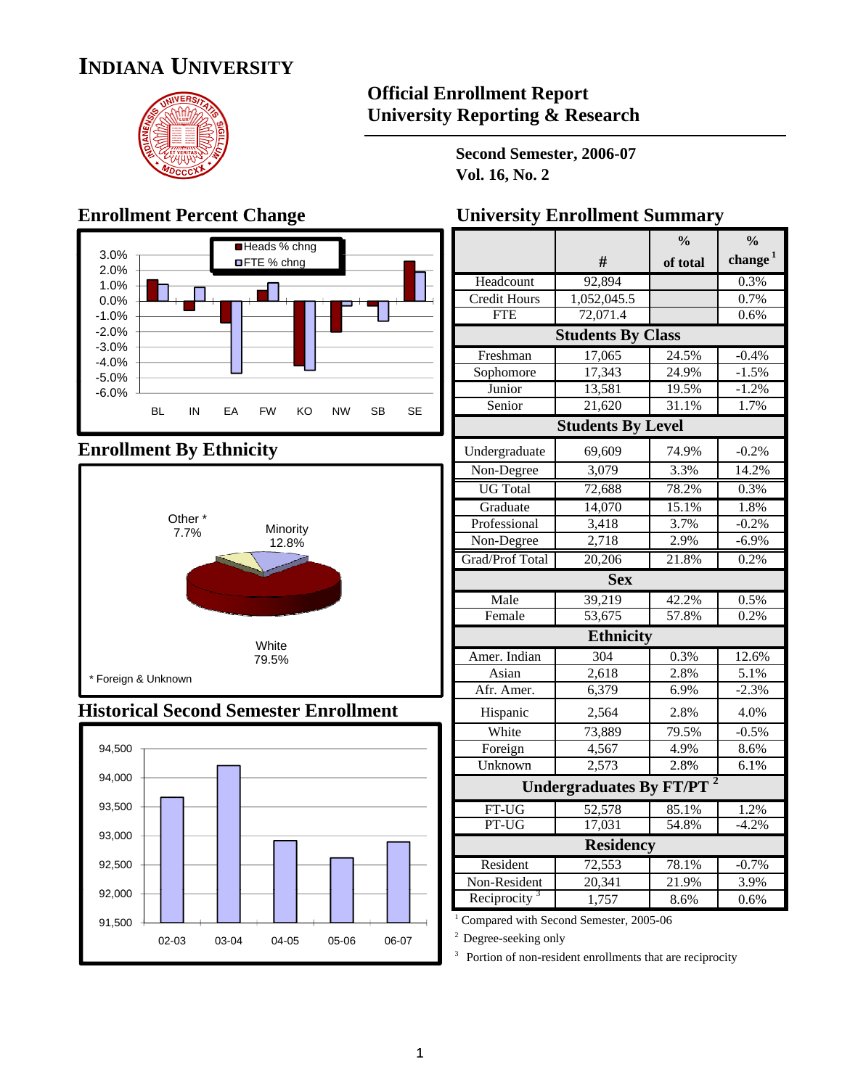# **INDIANA UNIVERSITY**



#### **Official Enrollment Report University Reporting & Research**

**Second Semester, 2006-07 Vol. 16, No. 2**

### **Enrollment Percent Change**



#### **Enrollment By Ethnicity**



#### **Historical Second Semester Enrollment**



| <b>University Enrollment Summary</b> |  |  |  |
|--------------------------------------|--|--|--|
|--------------------------------------|--|--|--|

|                             |                                | $\frac{0}{0}$ | $\frac{0}{0}$ |
|-----------------------------|--------------------------------|---------------|---------------|
|                             | #                              | of total      | change $1$    |
| Headcount                   | 92,894                         |               | 0.3%          |
| <b>Credit Hours</b>         | 1,052,045.5                    |               | 0.7%          |
| <b>FTE</b>                  | 72,071.4                       |               | 0.6%          |
|                             | <b>Students By Class</b>       |               |               |
| Freshman                    | 17,065                         | 24.5%         | $-0.4%$       |
| Sophomore                   | 17,343                         | 24.9%         | $-1.5%$       |
| Junior                      | 13,581                         | 19.5%         | $-1.2%$       |
| Senior                      | 21,620                         | 31.1%         | 1.7%          |
|                             | <b>Students By Level</b>       |               |               |
| Undergraduate               | 69,609                         | 74.9%         | $-0.2%$       |
| Non-Degree                  | 3,079                          | 3.3%          | 14.2%         |
| <b>UG</b> Total             | 72,688                         | 78.2%         | 0.3%          |
| Graduate                    | 14,070                         | 15.1%         | 1.8%          |
| Professional                | 3,418                          | 3.7%          | $-0.2%$       |
| Non-Degree                  | 2,718                          | 2.9%          | $-6.9%$       |
| Grad/Prof Total             | 20,206                         | 21.8%         | 0.2%          |
|                             | <b>Sex</b>                     |               |               |
| Male                        | 39,219                         | 42.2%         | 0.5%          |
| Female                      | 53,675                         | 57.8%         | 0.2%          |
|                             | <b>Ethnicity</b>               |               |               |
| Amer. Indian                | 304                            | 0.3%          | 12.6%         |
| Asian                       | 2,618                          | 2.8%          | 5.1%          |
| Afr. Amer.                  | 6,379                          | 6.9%          | $-2.3%$       |
| Hispanic                    | 2,564                          | 2.8%          | 4.0%          |
| White                       | 73,889                         | 79.5%         | $-0.5%$       |
| Foreign                     | 4,567                          | 4.9%          | 8.6%          |
| $\overline{\text{Unknown}}$ | 2.573                          | 2.8%          | 6.1%          |
|                             | <b>Undergraduates By FT/PT</b> |               |               |
| FT-UG                       | 52,578                         | 85.1%         | 1.2%          |
| PT-UG                       | 17,031                         | 54.8%         | $-4.2%$       |
|                             | <b>Residency</b>               |               |               |
| Resident                    | 72,553                         | 78.1%         | $-0.7%$       |
| Non-Resident                | 20,341                         | 21.9%         | 3.9%          |
| Reciprocity <sup>3</sup>    | 1,757                          | 8.6%          | 0.6%          |

<sup>1</sup> Compared with Second Semester, 2005-06

<sup>2</sup> Degree-seeking only

<sup>3</sup> Portion of non-resident enrollments that are reciprocity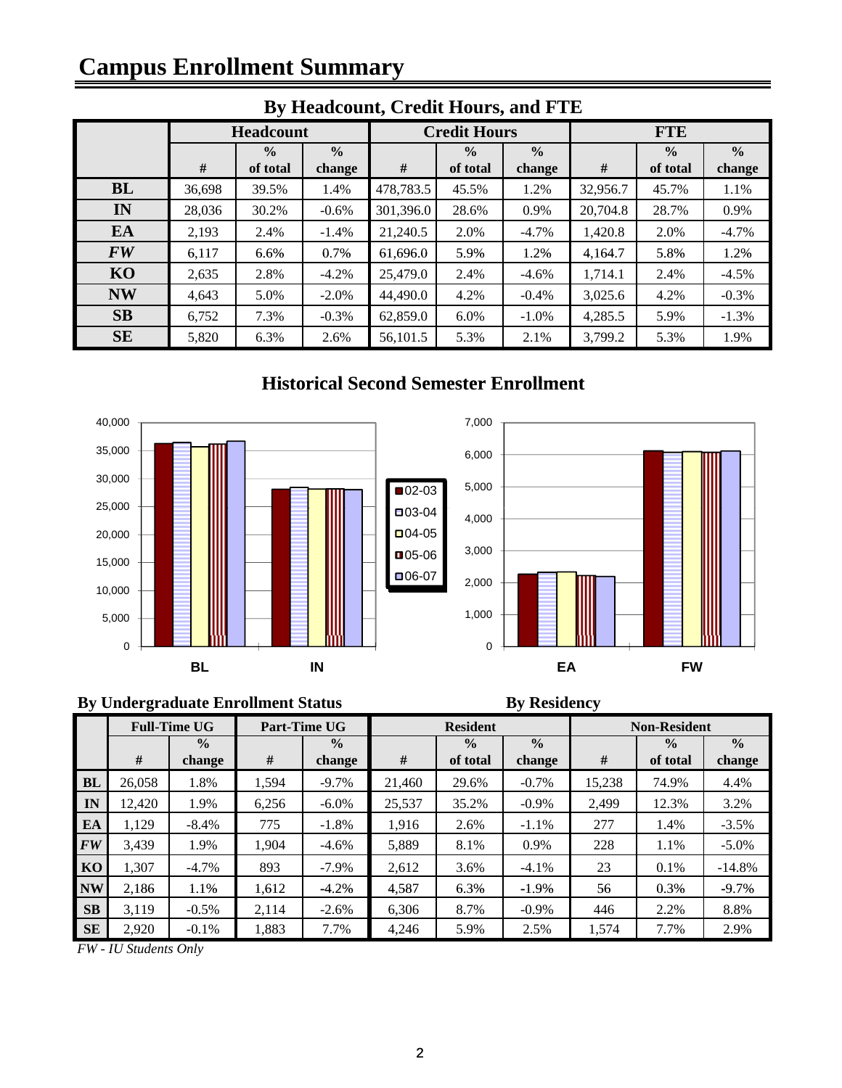# **Campus Enrollment Summary**

| $DJ$ measured and $\eta$ create module, and $\eta$ and |        |                  |               |           |                     |               |            |               |               |  |
|--------------------------------------------------------|--------|------------------|---------------|-----------|---------------------|---------------|------------|---------------|---------------|--|
|                                                        |        | <b>Headcount</b> |               |           | <b>Credit Hours</b> |               | <b>FTE</b> |               |               |  |
|                                                        |        | $\frac{0}{0}$    | $\frac{0}{0}$ |           | $\frac{0}{0}$       | $\frac{0}{0}$ |            | $\frac{0}{0}$ | $\frac{0}{0}$ |  |
|                                                        | #      | of total         | change        | #         | of total            | change        | #          | of total      | change        |  |
| BL                                                     | 36,698 | 39.5%            | 1.4%          | 478,783.5 | 45.5%               | 1.2%          | 32,956.7   | 45.7%         | 1.1%          |  |
| IN                                                     | 28,036 | 30.2%            | $-0.6%$       | 301,396.0 | 28.6%               | 0.9%          | 20,704.8   | 28.7%         | 0.9%          |  |
| EA                                                     | 2,193  | 2.4%             | $-1.4%$       | 21,240.5  | 2.0%                | $-4.7\%$      | 1,420.8    | 2.0%          | $-4.7%$       |  |
| <b>FW</b>                                              | 6,117  | 6.6%             | 0.7%          | 61,696.0  | 5.9%                | 1.2%          | 4,164.7    | 5.8%          | 1.2%          |  |
| KO                                                     | 2,635  | 2.8%             | $-4.2%$       | 25,479.0  | 2.4%                | $-4.6%$       | 1,714.1    | 2.4%          | $-4.5%$       |  |
| <b>NW</b>                                              | 4,643  | 5.0%             | $-2.0\%$      | 44,490.0  | 4.2%                | $-0.4\%$      | 3,025.6    | 4.2%          | $-0.3%$       |  |
| <b>SB</b>                                              | 6,752  | 7.3%             | $-0.3%$       | 62,859.0  | $6.0\%$             | $-1.0\%$      | 4,285.5    | 5.9%          | $-1.3%$       |  |
| <b>SE</b>                                              | 5,820  | 6.3%             | 2.6%          | 56,101.5  | 5.3%                | 2.1%          | 3,799.2    | 5.3%          | 1.9%          |  |
|                                                        |        |                  |               |           |                     |               |            |               |               |  |

#### **By Headcount, Credit Hours, and FTE**

#### **Historical Second Semester Enrollment Historical Second**



#### **By Undergraduate Enrollment Status By Residency**

|           | <b>Full-Time UG</b> |                         |       | Part-Time UG            |        | <b>Resident</b>           |                         | <b>Non-Resident</b> |                           |                         |  |
|-----------|---------------------|-------------------------|-------|-------------------------|--------|---------------------------|-------------------------|---------------------|---------------------------|-------------------------|--|
|           | #                   | $\frac{0}{0}$<br>change | #     | $\frac{0}{0}$<br>change | #      | $\frac{0}{0}$<br>of total | $\frac{0}{0}$<br>change | #                   | $\frac{0}{0}$<br>of total | $\frac{0}{0}$<br>change |  |
| <b>BL</b> | 26.058              | 1.8%                    | 1.594 | $-9.7\%$                | 21.460 | 29.6%                     | $-0.7\%$                | 15.238              | 74.9%                     | 4.4%                    |  |
| IN        | 12,420              | 1.9%                    | 6.256 | $-6.0\%$                | 25,537 | 35.2%                     | $-0.9\%$                | 2.499               | 12.3%                     | 3.2%                    |  |
| EA        | 1.129               | $-8.4%$                 | 775   | $-1.8%$                 | 1.916  | 2.6%                      | $-1.1%$                 | 277                 | 1.4%                      | $-3.5\%$                |  |
| <b>FW</b> | 3,439               | 1.9%                    | 1,904 | $-4.6%$                 | 5,889  | 8.1%                      | 0.9%                    | 228                 | 1.1%                      | $-5.0\%$                |  |
| KO        | 1,307               | $-4.7\%$                | 893   | $-7.9\%$                | 2.612  | 3.6%                      | $-4.1\%$                | 23                  | 0.1%                      | $-14.8%$                |  |
| <b>NW</b> | 2.186               | 1.1%                    | 1.612 | $-4.2%$                 | 4,587  | 6.3%                      | $-1.9%$                 | 56                  | 0.3%                      | $-9.7\%$                |  |
| <b>SB</b> | 3.119               | $-0.5\%$                | 2.114 | $-2.6%$                 | 6.306  | 8.7%                      | $-0.9\%$                | 446                 | 2.2%                      | 8.8%                    |  |
| <b>SE</b> | 2,920               | $-0.1%$                 | 1,883 | 7.7%                    | 4,246  | 5.9%                      | 2.5%                    | 1,574               | 7.7%                      | 2.9%                    |  |

*FW - IU Students Only*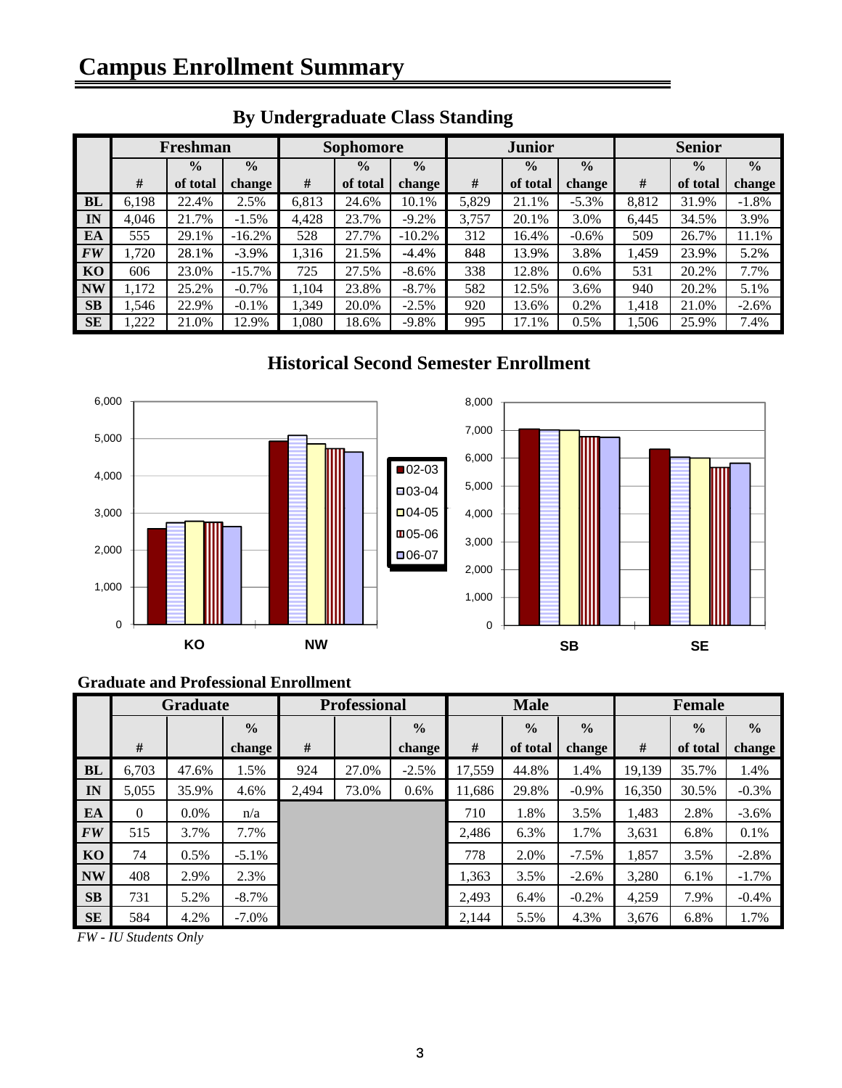|                | <b>By Undergraduate Class Standing</b> |               |               |       |                  |               |       |               |               |       |               |               |
|----------------|----------------------------------------|---------------|---------------|-------|------------------|---------------|-------|---------------|---------------|-------|---------------|---------------|
|                |                                        | Freshman      |               |       | <b>Sophomore</b> |               |       | <b>Junior</b> |               |       | <b>Senior</b> |               |
|                |                                        | $\frac{0}{0}$ | $\frac{0}{0}$ |       | $\frac{0}{0}$    | $\frac{0}{0}$ |       | $\frac{0}{0}$ | $\frac{0}{0}$ |       | $\frac{0}{0}$ | $\frac{0}{0}$ |
|                | #                                      | of total      | change        | #     | of total         | change        | #     | of total      | change        | #     | of total      | change        |
| <b>BL</b>      | 6,198                                  | 22.4%         | 2.5%          | 6,813 | 24.6%            | 10.1%         | 5,829 | 21.1%         | $-5.3\%$      | 8,812 | 31.9%         | $-1.8%$       |
| IN             | 4.046                                  | 21.7%         | $-1.5\%$      | 4,428 | 23.7%            | $-9.2%$       | 3,757 | 20.1%         | 3.0%          | 6,445 | 34.5%         | 3.9%          |
| EA             | 555                                    | 29.1%         | $-16.2%$      | 528   | 27.7%            | $-10.2%$      | 312   | 16.4%         | $-0.6\%$      | 509   | 26.7%         | 11.1%         |
| <b>FW</b>      | 1,720                                  | 28.1%         | $-3.9\%$      | 1.316 | 21.5%            | $-4.4%$       | 848   | 13.9%         | 3.8%          | 1.459 | 23.9%         | 5.2%          |
| K <sub>O</sub> | 606                                    | 23.0%         | $-15.7\%$     | 725   | 27.5%            | $-8.6\%$      | 338   | 12.8%         | 0.6%          | 531   | 20.2%         | 7.7%          |
| <b>NW</b>      | 1,172                                  | 25.2%         | $-0.7\%$      | 1,104 | 23.8%            | $-8.7\%$      | 582   | 12.5%         | 3.6%          | 940   | 20.2%         | 5.1%          |
| <b>SB</b>      | 1,546                                  | 22.9%         | $-0.1\%$      | 1,349 | 20.0%            | $-2.5%$       | 920   | 13.6%         | 0.2%          | 1,418 | 21.0%         | $-2.6%$       |
| <b>SE</b>      | 222                                    | 21.0%         | 12.9%         | 1,080 | 18.6%            | $-9.8\%$      | 995   | 17.1%         | 0.5%          | 1,506 | 25.9%         | 7.4%          |

#### **Historical Second Semester Enrollment**



#### **Graduate and Professional Enrollment**

|           | <b>Graduate</b> |         |               | <b>Professional</b> |       |               | <b>Male</b> |               |               | Female |               |               |
|-----------|-----------------|---------|---------------|---------------------|-------|---------------|-------------|---------------|---------------|--------|---------------|---------------|
|           |                 |         | $\frac{0}{0}$ |                     |       | $\frac{0}{0}$ |             | $\frac{0}{0}$ | $\frac{0}{0}$ |        | $\frac{0}{0}$ | $\frac{0}{0}$ |
|           | #               |         | change        | #                   |       | change        | $\#$        | of total      | change        | #      | of total      | change        |
| BL        | 6.703           | 47.6%   | 1.5%          | 924                 | 27.0% | $-2.5%$       | 17,559      | 44.8%         | 1.4%          | 19,139 | 35.7%         | 1.4%          |
| IN        | 5,055           | 35.9%   | 4.6%          | 2,494               | 73.0% | 0.6%          | 11,686      | 29.8%         | $-0.9\%$      | 16,350 | 30.5%         | $-0.3%$       |
| EA        | $\Omega$        | $0.0\%$ | n/a           |                     |       |               | 710         | 1.8%          | 3.5%          | 1.483  | 2.8%          | $-3.6%$       |
| FW        | 515             | 3.7%    | 7.7%          |                     |       |               | 2.486       | 6.3%          | 1.7%          | 3,631  | 6.8%          | 0.1%          |
| KO        | 74              | 0.5%    | $-5.1\%$      |                     |       |               | 778         | 2.0%          | $-7.5\%$      | 1,857  | 3.5%          | $-2.8%$       |
| <b>NW</b> | 408             | 2.9%    | 2.3%          |                     |       |               | 1,363       | 3.5%          | $-2.6%$       | 3,280  | 6.1%          | $-1.7%$       |
| <b>SB</b> | 731             | 5.2%    | $-8.7\%$      |                     |       |               | 2.493       | 6.4%          | $-0.2\%$      | 4,259  | 7.9%          | $-0.4%$       |
| <b>SE</b> | 584             | 4.2%    | $-7.0\%$      |                     |       |               | 2,144       | 5.5%          | 4.3%          | 3,676  | 6.8%          | 1.7%          |

*FW - IU Students Only*